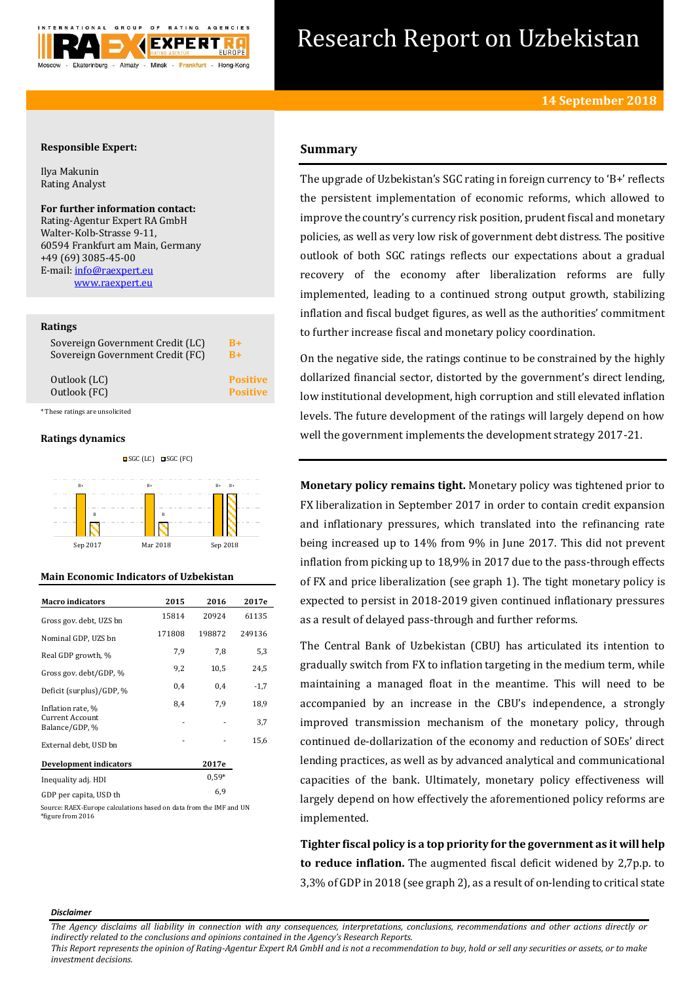

# Research Report on Uzbekistan

## **Responsible Expert:**

Ilya Makunin Rating Analyst

## **For further information contact:**

Rating-Agentur Expert RA GmbH Walter-Kolb-Strasse 9-11, 60594 Frankfurt am Main, Germany +49 (69) 3085-45-00 E-mail[: info@raexpert.eu](mailto:info@raexpert.eu) [www.raexpert.eu](http://raexpert.eu/)

## **Ratings**

| Sovereign Government Credit (LC) | $B+$            |
|----------------------------------|-----------------|
| Sovereign Government Credit (FC) | $B+$            |
| Outlook (LC)                     | <b>Positive</b> |
| Outlook (FC)                     | <b>Positive</b> |

\* These ratings are unsolicited

## **Ratings dynamics**



## **Main Economic Indicators of Uzbekistan**

| <b>Macro indicators</b>                  | 2015   | 2016    | 2017e  |
|------------------------------------------|--------|---------|--------|
| Gross gov. debt. UZS bn                  | 15814  | 20924   | 61135  |
| Nominal GDP, UZS bn                      | 171808 | 198872  | 249136 |
| Real GDP growth, %                       | 7,9    | 7,8     | 5,3    |
| Gross gov. debt/GDP, %                   | 9,2    | 10,5    | 24,5   |
| Deficit (surplus)/GDP, %                 | 0,4    | 0,4     | $-1,7$ |
| Inflation rate, %                        | 8,4    | 7,9     | 18,9   |
| <b>Current Account</b><br>Balance/GDP, % |        |         | 3,7    |
| External debt, USD bn                    |        |         | 15,6   |
| <b>Development indicators</b>            |        | 2017e   |        |
| Inequality adj. HDI                      |        | $0.59*$ |        |
| GDP per capita, USD th                   |        | 6,9     |        |

Source: RAEX-Europe calculations based on data from the IMF and UN \*figure from 2016

## **Summary**

The upgrade of Uzbekistan's SGC rating in foreign currency to 'B+' reflects the persistent implementation of economic reforms, which allowed to improve the country's currency risk position, prudent fiscal and monetary policies, as well as very low risk of government debt distress. The positive outlook of both SGC ratings reflects our expectations about a gradual recovery of the economy after liberalization reforms are fully implemented, leading to a continued strong output growth, stabilizing inflation and fiscal budget figures, as well as the authorities' commitment to further increase fiscal and monetary policy coordination.

On the negative side, the ratings continue to be constrained by the highly dollarized financial sector, distorted by the government's direct lending, low institutional development, high corruption and still elevated inflation levels. The future development of the ratings will largely depend on how well the government implements the development strategy 2017-21.

**Monetary policy remains tight.** Monetary policy was tightened prior to FX liberalization in September 2017 in order to contain credit expansion and inflationary pressures, which translated into the refinancing rate being increased up to 14% from 9% in June 2017. This did not prevent inflation from picking up to 18,9% in 2017 due to the pass-through effects of FX and price liberalization (see graph 1). The tight monetary policy is expected to persist in 2018-2019 given continued inflationary pressures as a result of delayed pass-through and further reforms.

The Central Bank of Uzbekistan (CBU) has articulated its intention to gradually switch from FX to inflation targeting in the medium term, while maintaining a managed float in the meantime. This will need to be accompanied by an increase in the CBU's independence, a strongly improved transmission mechanism of the monetary policy, through continued de-dollarization of the economy and reduction of SOEs' direct lending practices, as well as by advanced analytical and communicational capacities of the bank. Ultimately, monetary policy effectiveness will largely depend on how effectively the aforementioned policy reforms are implemented.

**Tighter fiscal policy is a top priority for the government as it will help to reduce inflation.** The augmented fiscal deficit widened by 2,7p.p. to 3,3% of GDP in 2018 (see graph 2), as a result of on-lending to critical state

#### *Disclaimer*

*The Agency disclaims all liability in connection with any consequences, interpretations, conclusions, recommendations and other actions directly or indirectly related to the conclusions and opinions contained in the Agency's Research Reports.*

*This Report represents the opinion of Rating-Agentur Expert RA GmbH and is not a recommendation to buy, hold or sell any securities or assets, or to make investment decisions.*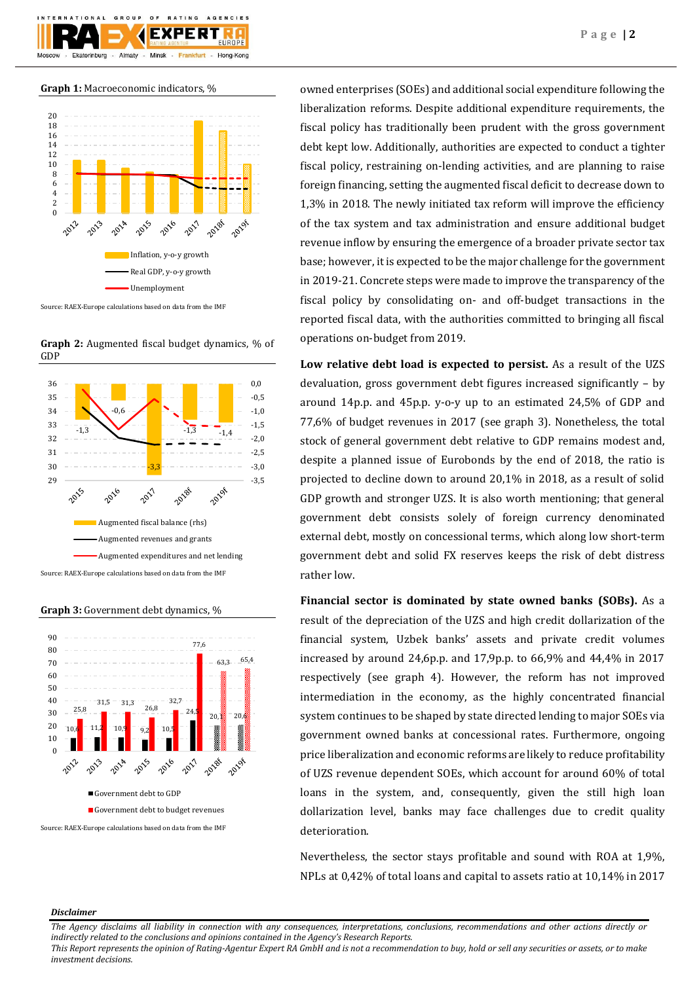

**Graph 1:** Macroeconomic indicators, %



Source: RAEX-Europe calculations based on data from the IMF

**Graph 2:** Augmented fiscal budget dynamics, % of GDP



**Graph 3:** Government debt dynamics, %



owned enterprises (SOEs) and additional social expenditure following the liberalization reforms. Despite additional expenditure requirements, the fiscal policy has traditionally been prudent with the gross government debt kept low. Additionally, authorities are expected to conduct a tighter fiscal policy, restraining on-lending activities, and are planning to raise foreign financing, setting the augmented fiscal deficit to decrease down to 1,3% in 2018. The newly initiated tax reform will improve the efficiency of the tax system and tax administration and ensure additional budget revenue inflow by ensuring the emergence of a broader private sector tax base; however, it is expected to be the major challenge for the government in 2019-21. Concrete steps were made to improve the transparency of the fiscal policy by consolidating on- and off-budget transactions in the reported fiscal data, with the authorities committed to bringing all fiscal operations on-budget from 2019.

**Low relative debt load is expected to persist.** As a result of the UZS devaluation, gross government debt figures increased significantly – by around 14p.p. and 45p.p. y-o-y up to an estimated 24,5% of GDP and 77,6% of budget revenues in 2017 (see graph 3). Nonetheless, the total stock of general government debt relative to GDP remains modest and, despite a planned issue of Eurobonds by the end of 2018, the ratio is projected to decline down to around 20,1% in 2018, as a result of solid GDP growth and stronger UZS. It is also worth mentioning; that general government debt consists solely of foreign currency denominated external debt, mostly on concessional terms, which along low short-term government debt and solid FX reserves keeps the risk of debt distress rather low.

**Financial sector is dominated by state owned banks (SOBs).** As a result of the depreciation of the UZS and high credit dollarization of the financial system, Uzbek banks' assets and private credit volumes increased by around 24,6p.p. and 17,9p.p. to 66,9% and 44,4% in 2017 respectively (see graph 4). However, the reform has not improved intermediation in the economy, as the highly concentrated financial system continues to be shaped by state directed lending to major SOEs via government owned banks at concessional rates. Furthermore, ongoing price liberalization and economic reforms are likely to reduce profitability of UZS revenue dependent SOEs, which account for around 60% of total loans in the system, and, consequently, given the still high loan dollarization level, banks may face challenges due to credit quality deterioration.

Nevertheless, the sector stays profitable and sound with ROA at 1,9%, NPLs at 0,42% of total loans and capital to assets ratio at 10,14% in 2017

## *Disclaimer*

*This Report represents the opinion of Rating-Agentur Expert RA GmbH and is not a recommendation to buy, hold or sell any securities or assets, or to make investment decisions.*

*The Agency disclaims all liability in connection with any consequences, interpretations, conclusions, recommendations and other actions directly or indirectly related to the conclusions and opinions contained in the Agency's Research Reports.*